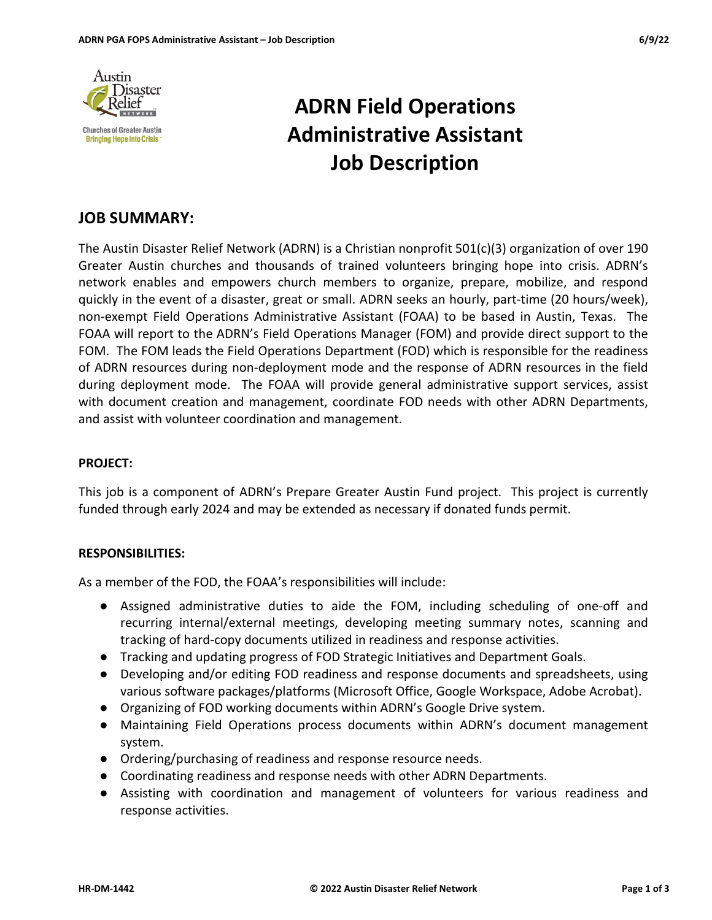

# ADRN Field Operations Administrative Assistant Job Description

## JOB SUMMARY:

The Austin Disaster Relief Network (ADRN) is a Christian nonprofit 501(c)(3) organization of over 190 Greater Austin churches and thousands of trained volunteers bringing hope into crisis. ADRN's network enables and empowers church members to organize, prepare, mobilize, and respond quickly in the event of a disaster, great or small. ADRN seeks an hourly, part-time (20 hours/week), non-exempt Field Operations Administrative Assistant (FOAA) to be based in Austin, Texas. The FOAA will report to the ADRN's Field Operations Manager (FOM) and provide direct support to the FOM. The FOM leads the Field Operations Department (FOD) which is responsible for the readiness of ADRN resources during non-deployment mode and the response of ADRN resources in the field during deployment mode. The FOAA will provide general administrative support services, assist with document creation and management, coordinate FOD needs with other ADRN Departments, and assist with volunteer coordination and management.

## PROJECT:

This job is a component of ADRN's Prepare Greater Austin Fund project. This project is currently funded through early 2024 and may be extended as necessary if donated funds permit.

#### RESPONSIBILITIES:

As a member of the FOD, the FOAA's responsibilities will include:

- Assigned administrative duties to aide the FOM, including scheduling of one-off and recurring internal/external meetings, developing meeting summary notes, scanning and tracking of hard-copy documents utilized in readiness and response activities.
- Tracking and updating progress of FOD Strategic Initiatives and Department Goals.
- Developing and/or editing FOD readiness and response documents and spreadsheets, using various software packages/platforms (Microsoft Office, Google Workspace, Adobe Acrobat).
- Organizing of FOD working documents within ADRN's Google Drive system.
- Maintaining Field Operations process documents within ADRN's document management system.
- Ordering/purchasing of readiness and response resource needs.
- Coordinating readiness and response needs with other ADRN Departments.
- Assisting with coordination and management of volunteers for various readiness and response activities.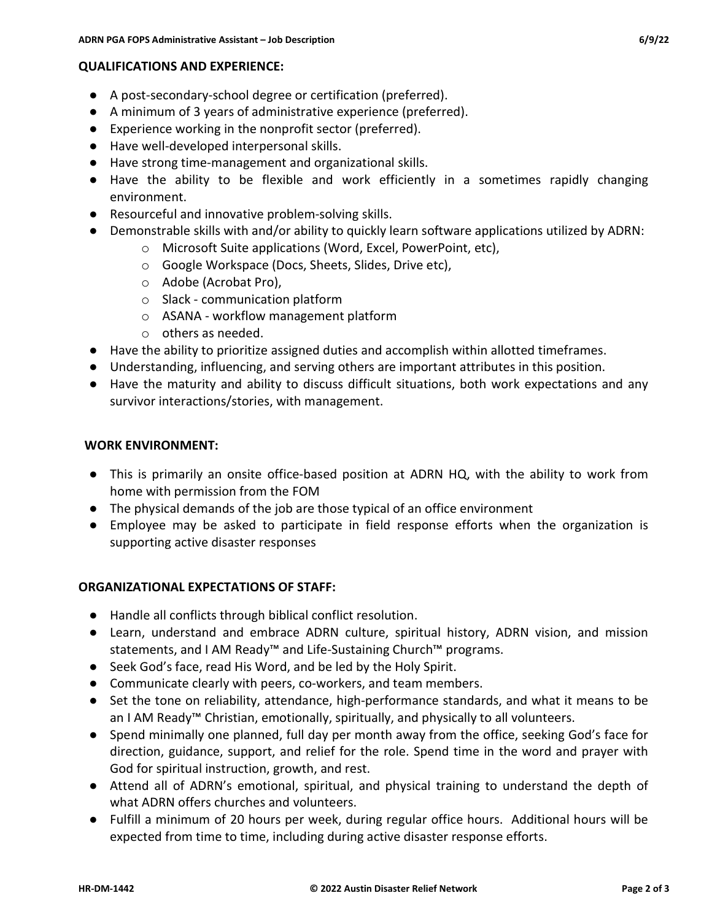## QUALIFICATIONS AND EXPERIENCE:

- A post-secondary-school degree or certification (preferred).
- A minimum of 3 years of administrative experience (preferred).
- Experience working in the nonprofit sector (preferred).
- Have well-developed interpersonal skills.
- Have strong time-management and organizational skills.
- Have the ability to be flexible and work efficiently in a sometimes rapidly changing environment.
- Resourceful and innovative problem-solving skills.
- Demonstrable skills with and/or ability to quickly learn software applications utilized by ADRN:
	- o Microsoft Suite applications (Word, Excel, PowerPoint, etc),
	- o Google Workspace (Docs, Sheets, Slides, Drive etc),
	- o Adobe (Acrobat Pro),
	- o Slack communication platform
	- o ASANA workflow management platform
	- o others as needed.
- Have the ability to prioritize assigned duties and accomplish within allotted timeframes.
- Understanding, influencing, and serving others are important attributes in this position.
- Have the maturity and ability to discuss difficult situations, both work expectations and any survivor interactions/stories, with management.

## WORK ENVIRONMENT:

- This is primarily an onsite office-based position at ADRN HQ, with the ability to work from home with permission from the FOM
- The physical demands of the job are those typical of an office environment
- Employee may be asked to participate in field response efforts when the organization is supporting active disaster responses

## ORGANIZATIONAL EXPECTATIONS OF STAFF:

- Handle all conflicts through biblical conflict resolution.
- Learn, understand and embrace ADRN culture, spiritual history, ADRN vision, and mission statements, and I AM Ready™ and Life-Sustaining Church™ programs.
- Seek God's face, read His Word, and be led by the Holy Spirit.
- Communicate clearly with peers, co-workers, and team members.
- Set the tone on reliability, attendance, high-performance standards, and what it means to be an I AM Ready™ Christian, emotionally, spiritually, and physically to all volunteers.
- Spend minimally one planned, full day per month away from the office, seeking God's face for direction, guidance, support, and relief for the role. Spend time in the word and prayer with God for spiritual instruction, growth, and rest.
- Attend all of ADRN's emotional, spiritual, and physical training to understand the depth of what ADRN offers churches and volunteers.
- Fulfill a minimum of 20 hours per week, during regular office hours. Additional hours will be expected from time to time, including during active disaster response efforts.